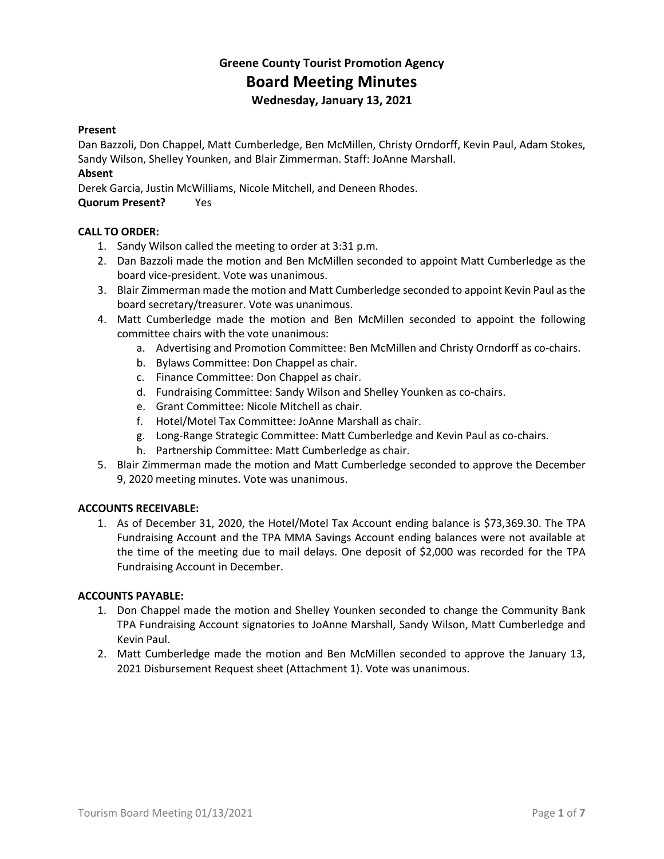# **Greene County Tourist Promotion Agency Board Meeting Minutes Wednesday, January 13, 2021**

### **Present**

Dan Bazzoli, Don Chappel, Matt Cumberledge, Ben McMillen, Christy Orndorff, Kevin Paul, Adam Stokes, Sandy Wilson, Shelley Younken, and Blair Zimmerman. Staff: JoAnne Marshall.

## **Absent**

Derek Garcia, Justin McWilliams, Nicole Mitchell, and Deneen Rhodes.

**Quorum Present?** Yes

## **CALL TO ORDER:**

- 1. Sandy Wilson called the meeting to order at 3:31 p.m.
- 2. Dan Bazzoli made the motion and Ben McMillen seconded to appoint Matt Cumberledge as the board vice-president. Vote was unanimous.
- 3. Blair Zimmerman made the motion and Matt Cumberledge seconded to appoint Kevin Paul as the board secretary/treasurer. Vote was unanimous.
- 4. Matt Cumberledge made the motion and Ben McMillen seconded to appoint the following committee chairs with the vote unanimous:
	- a. Advertising and Promotion Committee: Ben McMillen and Christy Orndorff as co-chairs.
	- b. Bylaws Committee: Don Chappel as chair.
	- c. Finance Committee: Don Chappel as chair.
	- d. Fundraising Committee: Sandy Wilson and Shelley Younken as co-chairs.
	- e. Grant Committee: Nicole Mitchell as chair.
	- f. Hotel/Motel Tax Committee: JoAnne Marshall as chair.
	- g. Long-Range Strategic Committee: Matt Cumberledge and Kevin Paul as co-chairs.
	- h. Partnership Committee: Matt Cumberledge as chair.
- 5. Blair Zimmerman made the motion and Matt Cumberledge seconded to approve the December 9, 2020 meeting minutes. Vote was unanimous.

#### **ACCOUNTS RECEIVABLE:**

1. As of December 31, 2020, the Hotel/Motel Tax Account ending balance is \$73,369.30. The TPA Fundraising Account and the TPA MMA Savings Account ending balances were not available at the time of the meeting due to mail delays. One deposit of \$2,000 was recorded for the TPA Fundraising Account in December.

#### **ACCOUNTS PAYABLE:**

- 1. Don Chappel made the motion and Shelley Younken seconded to change the Community Bank TPA Fundraising Account signatories to JoAnne Marshall, Sandy Wilson, Matt Cumberledge and Kevin Paul.
- 2. Matt Cumberledge made the motion and Ben McMillen seconded to approve the January 13, 2021 Disbursement Request sheet (Attachment 1). Vote was unanimous.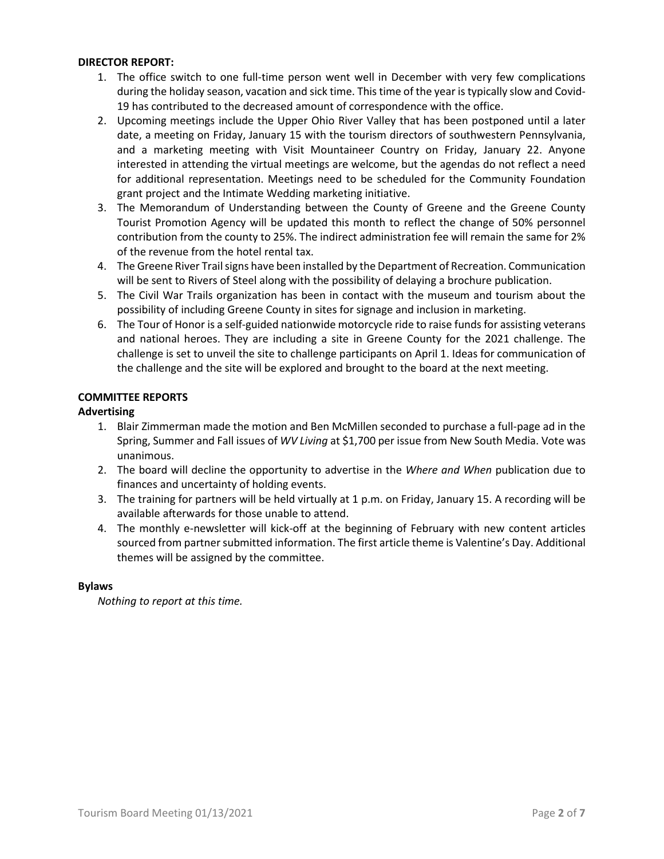## **DIRECTOR REPORT:**

- 1. The office switch to one full-time person went well in December with very few complications during the holiday season, vacation and sick time. This time of the year is typically slow and Covid-19 has contributed to the decreased amount of correspondence with the office.
- 2. Upcoming meetings include the Upper Ohio River Valley that has been postponed until a later date, a meeting on Friday, January 15 with the tourism directors of southwestern Pennsylvania, and a marketing meeting with Visit Mountaineer Country on Friday, January 22. Anyone interested in attending the virtual meetings are welcome, but the agendas do not reflect a need for additional representation. Meetings need to be scheduled for the Community Foundation grant project and the Intimate Wedding marketing initiative.
- 3. The Memorandum of Understanding between the County of Greene and the Greene County Tourist Promotion Agency will be updated this month to reflect the change of 50% personnel contribution from the county to 25%. The indirect administration fee will remain the same for 2% of the revenue from the hotel rental tax.
- 4. The Greene River Trail signs have been installed by the Department of Recreation. Communication will be sent to Rivers of Steel along with the possibility of delaying a brochure publication.
- 5. The Civil War Trails organization has been in contact with the museum and tourism about the possibility of including Greene County in sites for signage and inclusion in marketing.
- 6. The Tour of Honor is a self-guided nationwide motorcycle ride to raise funds for assisting veterans and national heroes. They are including a site in Greene County for the 2021 challenge. The challenge is set to unveil the site to challenge participants on April 1. Ideas for communication of the challenge and the site will be explored and brought to the board at the next meeting.

## **COMMITTEE REPORTS**

## **Advertising**

- 1. Blair Zimmerman made the motion and Ben McMillen seconded to purchase a full-page ad in the Spring, Summer and Fall issues of *WV Living* at \$1,700 per issue from New South Media. Vote was unanimous.
- 2. The board will decline the opportunity to advertise in the *Where and When* publication due to finances and uncertainty of holding events.
- 3. The training for partners will be held virtually at 1 p.m. on Friday, January 15. A recording will be available afterwards for those unable to attend.
- 4. The monthly e-newsletter will kick-off at the beginning of February with new content articles sourced from partner submitted information. The first article theme is Valentine's Day. Additional themes will be assigned by the committee.

#### **Bylaws**

*Nothing to report at this time.*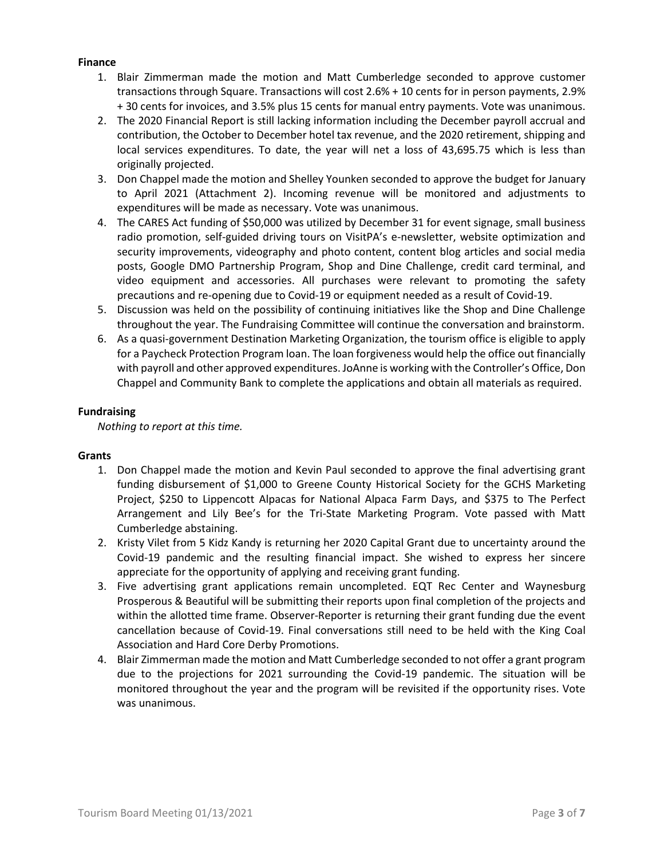## **Finance**

- 1. Blair Zimmerman made the motion and Matt Cumberledge seconded to approve customer transactions through Square. Transactions will cost 2.6% + 10 cents for in person payments, 2.9% + 30 cents for invoices, and 3.5% plus 15 cents for manual entry payments. Vote was unanimous.
- 2. The 2020 Financial Report is still lacking information including the December payroll accrual and contribution, the October to December hotel tax revenue, and the 2020 retirement, shipping and local services expenditures. To date, the year will net a loss of 43,695.75 which is less than originally projected.
- 3. Don Chappel made the motion and Shelley Younken seconded to approve the budget for January to April 2021 (Attachment 2). Incoming revenue will be monitored and adjustments to expenditures will be made as necessary. Vote was unanimous.
- 4. The CARES Act funding of \$50,000 was utilized by December 31 for event signage, small business radio promotion, self-guided driving tours on VisitPA's e-newsletter, website optimization and security improvements, videography and photo content, content blog articles and social media posts, Google DMO Partnership Program, Shop and Dine Challenge, credit card terminal, and video equipment and accessories. All purchases were relevant to promoting the safety precautions and re-opening due to Covid-19 or equipment needed as a result of Covid-19.
- 5. Discussion was held on the possibility of continuing initiatives like the Shop and Dine Challenge throughout the year. The Fundraising Committee will continue the conversation and brainstorm.
- 6. As a quasi-government Destination Marketing Organization, the tourism office is eligible to apply for a Paycheck Protection Program loan. The loan forgiveness would help the office out financially with payroll and other approved expenditures. JoAnne is working with the Controller's Office, Don Chappel and Community Bank to complete the applications and obtain all materials as required.

## **Fundraising**

*Nothing to report at this time.*

## **Grants**

- 1. Don Chappel made the motion and Kevin Paul seconded to approve the final advertising grant funding disbursement of \$1,000 to Greene County Historical Society for the GCHS Marketing Project, \$250 to Lippencott Alpacas for National Alpaca Farm Days, and \$375 to The Perfect Arrangement and Lily Bee's for the Tri-State Marketing Program. Vote passed with Matt Cumberledge abstaining.
- 2. Kristy Vilet from 5 Kidz Kandy is returning her 2020 Capital Grant due to uncertainty around the Covid-19 pandemic and the resulting financial impact. She wished to express her sincere appreciate for the opportunity of applying and receiving grant funding.
- 3. Five advertising grant applications remain uncompleted. EQT Rec Center and Waynesburg Prosperous & Beautiful will be submitting their reports upon final completion of the projects and within the allotted time frame. Observer-Reporter is returning their grant funding due the event cancellation because of Covid-19. Final conversations still need to be held with the King Coal Association and Hard Core Derby Promotions.
- 4. Blair Zimmerman made the motion and Matt Cumberledge seconded to not offer a grant program due to the projections for 2021 surrounding the Covid-19 pandemic. The situation will be monitored throughout the year and the program will be revisited if the opportunity rises. Vote was unanimous.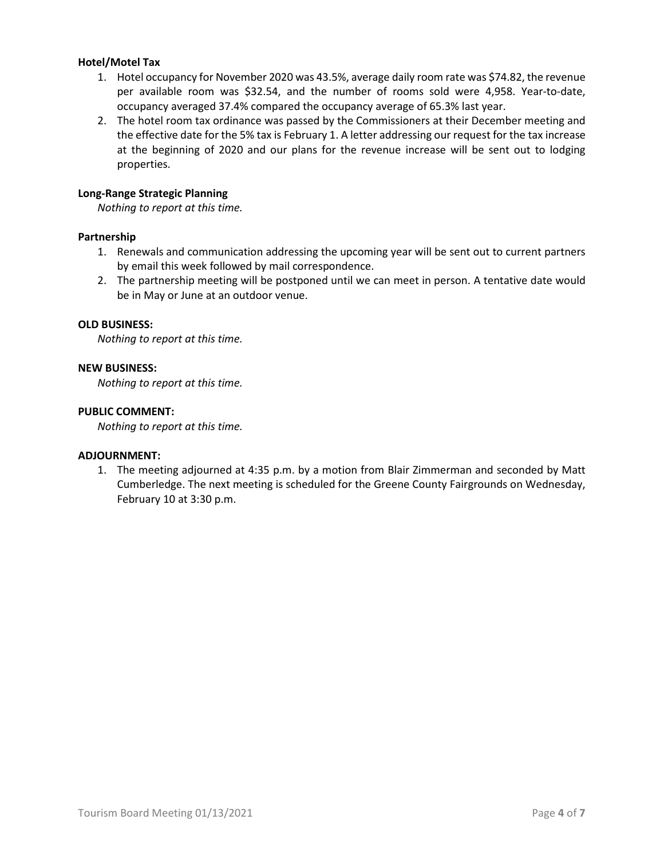## **Hotel/Motel Tax**

- 1. Hotel occupancy for November 2020 was 43.5%, average daily room rate was \$74.82, the revenue per available room was \$32.54, and the number of rooms sold were 4,958. Year-to-date, occupancy averaged 37.4% compared the occupancy average of 65.3% last year.
- 2. The hotel room tax ordinance was passed by the Commissioners at their December meeting and the effective date for the 5% tax is February 1. A letter addressing our request for the tax increase at the beginning of 2020 and our plans for the revenue increase will be sent out to lodging properties.

## **Long-Range Strategic Planning**

*Nothing to report at this time.*

## **Partnership**

- 1. Renewals and communication addressing the upcoming year will be sent out to current partners by email this week followed by mail correspondence.
- 2. The partnership meeting will be postponed until we can meet in person. A tentative date would be in May or June at an outdoor venue.

#### **OLD BUSINESS:**

*Nothing to report at this time.*

## **NEW BUSINESS:**

*Nothing to report at this time.*

## **PUBLIC COMMENT:**

*Nothing to report at this time.*

#### **ADJOURNMENT:**

1. The meeting adjourned at 4:35 p.m. by a motion from Blair Zimmerman and seconded by Matt Cumberledge. The next meeting is scheduled for the Greene County Fairgrounds on Wednesday, February 10 at 3:30 p.m.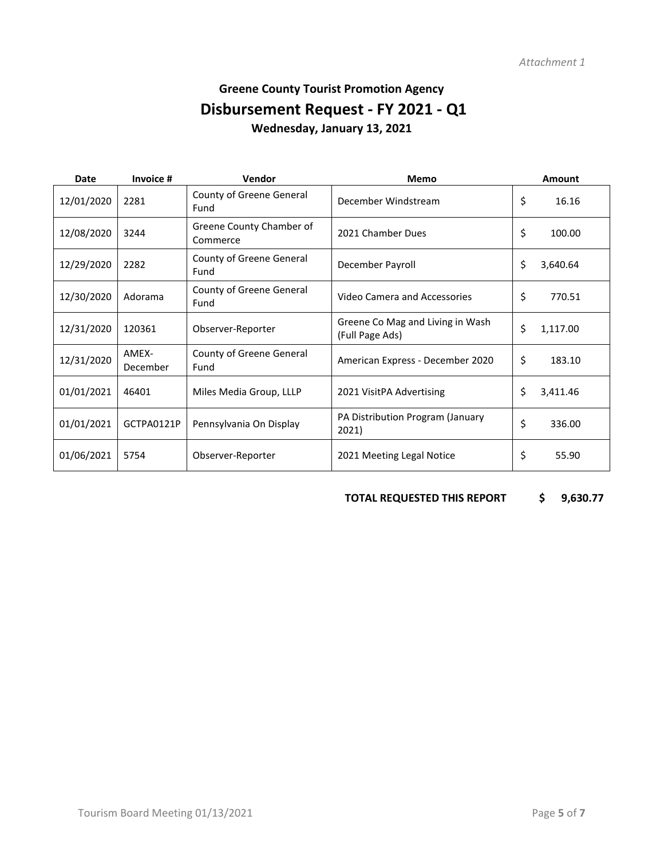# **Greene County Tourist Promotion Agency Disbursement Request - FY 2021 - Q1 Wednesday, January 13, 2021**

| Date       | Invoice #         | Vendor                               | Memo                                                | Amount         |
|------------|-------------------|--------------------------------------|-----------------------------------------------------|----------------|
| 12/01/2020 | 2281              | County of Greene General<br>Fund     | December Windstream                                 | \$<br>16.16    |
| 12/08/2020 | 3244              | Greene County Chamber of<br>Commerce | 2021 Chamber Dues                                   | \$<br>100.00   |
| 12/29/2020 | 2282              | County of Greene General<br>Fund     | December Payroll                                    | \$<br>3,640.64 |
| 12/30/2020 | Adorama           | County of Greene General<br>Fund     | Video Camera and Accessories                        | \$<br>770.51   |
| 12/31/2020 | 120361            | Observer-Reporter                    | Greene Co Mag and Living in Wash<br>(Full Page Ads) | \$<br>1,117.00 |
| 12/31/2020 | AMEX-<br>December | County of Greene General<br>Fund     | American Express - December 2020                    | \$<br>183.10   |
| 01/01/2021 | 46401             | Miles Media Group, LLLP              | 2021 VisitPA Advertising                            | \$<br>3,411.46 |
| 01/01/2021 | GCTPA0121P        | Pennsylvania On Display              | PA Distribution Program (January<br>2021)           | \$<br>336.00   |
| 01/06/2021 | 5754              | Observer-Reporter                    | 2021 Meeting Legal Notice                           | \$<br>55.90    |

**TOTAL REQUESTED THIS REPORT \$ 9,630.77**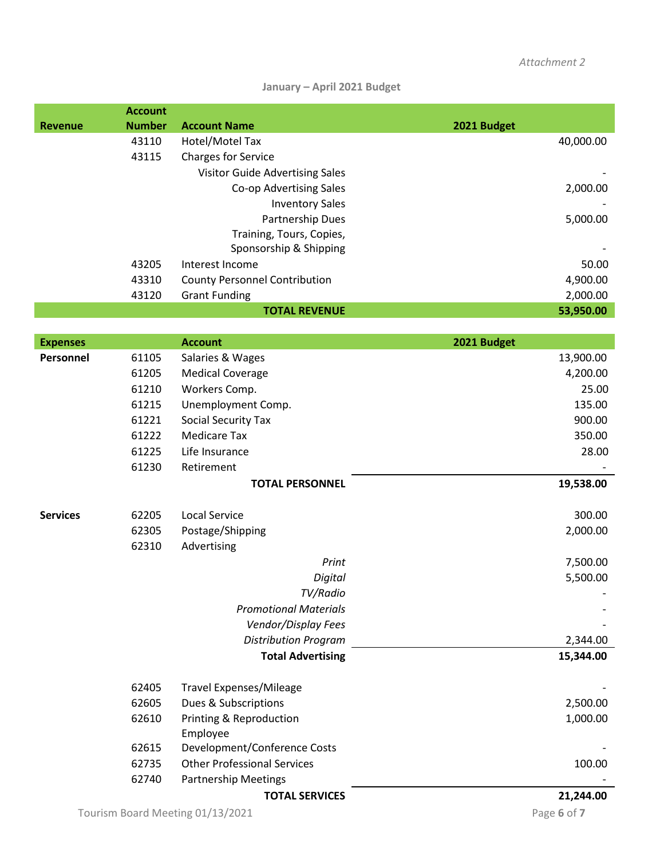## **January – April 2021 Budget**

|                | <b>Account</b> |                                      |             |
|----------------|----------------|--------------------------------------|-------------|
| <b>Revenue</b> | <b>Number</b>  | <b>Account Name</b>                  | 2021 Budget |
|                | 43110          | Hotel/Motel Tax                      | 40,000.00   |
|                | 43115          | <b>Charges for Service</b>           |             |
|                |                | Visitor Guide Advertising Sales      |             |
|                |                | Co-op Advertising Sales              | 2,000.00    |
|                |                | <b>Inventory Sales</b>               |             |
|                |                | Partnership Dues                     | 5,000.00    |
|                |                | Training, Tours, Copies,             |             |
|                |                | Sponsorship & Shipping               |             |
|                | 43205          | Interest Income                      | 50.00       |
|                | 43310          | <b>County Personnel Contribution</b> | 4,900.00    |
|                | 43120          | <b>Grant Funding</b>                 | 2,000.00    |
|                |                | <b>TOTAL REVENUE</b>                 | 53,950.00   |

| <b>Expenses</b>                  |       | <b>Account</b>                     | 2021 Budget |
|----------------------------------|-------|------------------------------------|-------------|
| Personnel                        | 61105 | Salaries & Wages                   | 13,900.00   |
|                                  | 61205 | <b>Medical Coverage</b>            | 4,200.00    |
|                                  | 61210 | Workers Comp.                      | 25.00       |
|                                  | 61215 | Unemployment Comp.                 | 135.00      |
|                                  | 61221 | <b>Social Security Tax</b>         | 900.00      |
|                                  | 61222 | <b>Medicare Tax</b>                | 350.00      |
|                                  | 61225 | Life Insurance                     | 28.00       |
|                                  | 61230 | Retirement                         |             |
|                                  |       | <b>TOTAL PERSONNEL</b>             | 19,538.00   |
| <b>Services</b>                  | 62205 | <b>Local Service</b>               | 300.00      |
|                                  | 62305 | Postage/Shipping                   | 2,000.00    |
|                                  | 62310 | Advertising                        |             |
|                                  |       | Print                              | 7,500.00    |
|                                  |       | Digital                            | 5,500.00    |
|                                  |       | TV/Radio                           |             |
|                                  |       | <b>Promotional Materials</b>       |             |
|                                  |       | Vendor/Display Fees                |             |
|                                  |       | <b>Distribution Program</b>        | 2,344.00    |
|                                  |       | <b>Total Advertising</b>           | 15,344.00   |
|                                  | 62405 | <b>Travel Expenses/Mileage</b>     |             |
|                                  | 62605 | Dues & Subscriptions               | 2,500.00    |
|                                  | 62610 | Printing & Reproduction            | 1,000.00    |
|                                  |       | Employee                           |             |
|                                  | 62615 | Development/Conference Costs       |             |
|                                  | 62735 | <b>Other Professional Services</b> | 100.00      |
|                                  | 62740 | <b>Partnership Meetings</b>        |             |
|                                  |       | <b>TOTAL SERVICES</b>              | 21,244.00   |
| Tourism Board Meeting 01/13/2021 |       |                                    | Page 6 of 7 |